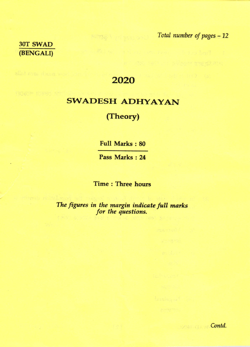30T SWAD (BENGALI) Total number of pages - 12

## 2020

## **SWADESH ADHYAYAN**

## (Theory)

**Full Marks: 80** 

Pass Marks: 24

**Time: Three hours** 

The figures in the margin indicate full marks<br>for the questions.

MERRIA W. Contd.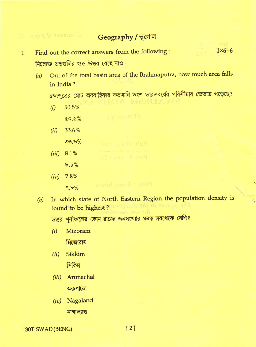Geography / ভূগোল

- $1\times 6=6$ Find out the correct answers from the following:  $1.$ নিম্নোক্ত প্রশ্নগুলির শুদ্ধ উত্তর বেছে নাও:
	- Out of the total basin area of the Brahmaputra, how much area falls  $(a)$ in India?

ব্রহ্মপুত্রের মোট অববাহিকার কতখানি অংশ ভারতবর্ষের পরিসীমার ভেতরে পড়েছে?

HRHCLAWR

50.5%  $(i)$  $0.0\%$ 

- 33.6%  $(ii)$  $00.6\%$
- $(iii)$  8.1%  $b.5%$
- $(iv)$  7.8%

 $9.5%$ 

In which state of North Eastern Region the population density is  $(b)$ found to be highest? I strate and mi assumpt all

উত্তর পূর্বাঞ্চলের কোন রাজ্যে জনসংখ্যার ঘনত্ব সবথেকে বেশি?

Time : Three hours

- Mizoram  $(i)$ মিজোরাম
- (ii) Sikkim সিকিম
- (iii) Arunachal অরুণাচল
- (iv) Nagaland

নাগাল্যাণ্ড

30T SWAD (BENG)

 $[2]$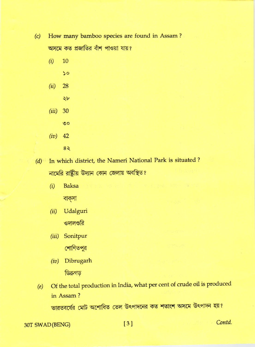(c) How many bamboo species are found in Assam ?

অসমে কত প্রজাতির বাঁশ পাওয়া যায়?

- $(i) 10$ 
	- $\mathsf{S}$

 $\forall r$ 

- $(ii)$  28
- (iii) <sup>30</sup>
	- $\circ$
- $(iv)$  42
	- 8\
- (d) In which district, the Nameri National Park is situated? নামেরি রাষ্ট্রীয় উদ্যান কোন জেলায় অবস্থিত?
	- $(i)$  Baksa

বাক্সা

- (ii) Udalguri ওদালগুরি
- (iii) Sonitpur শোণিতপুর
- (iv) Dibrugarh ডিব্ৰুগড
- Of the total production in India, what per cent of crude oil is produced in Assam ? ভারতবর্ষের মোট অশোধিত তেল উৎপাদনের কত শতাংশ অসমে উৎপাদন হয়?  $(e)$

30T SWAD(BENG) [3] Contd.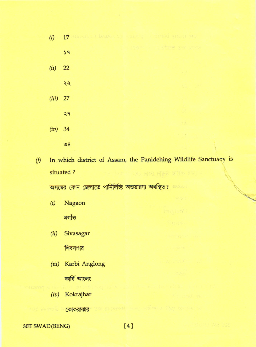| (i)        | 17 MARCA III DAUGU TE REALER PRINTED VICENT VIOLI |                               |  |
|------------|---------------------------------------------------|-------------------------------|--|
|            | 59                                                | <b>CLOSED A CARD BOX CHAR</b> |  |
|            |                                                   |                               |  |
| (ii)       | 22                                                |                               |  |
|            | ২২                                                |                               |  |
| $(iii)$ 27 |                                                   |                               |  |
|            | ২৭                                                | t st                          |  |
| $(iv)$ 34  |                                                   | $-2513$                       |  |
|            | $\mathcal{S}$                                     |                               |  |
|            |                                                   |                               |  |

In which district of Assam, the Panidehing Wildlife Sanctuary is  $(f)$ situated ?

অসমের কোন জেলাতে পানিদিহিং অভয়ারণ্য অবস্থিত?

 $(i)$ Nagaon

নগাঁও

Sivasagar  $(ii)$ 

শিবসাগর

(iii) Karbi Anglong

কাৰ্বি আংলং

(iv) Kokrajhar

**মাজ আৰু ভাৰত কোকরাঝার** 

30T SWAD (BENG)